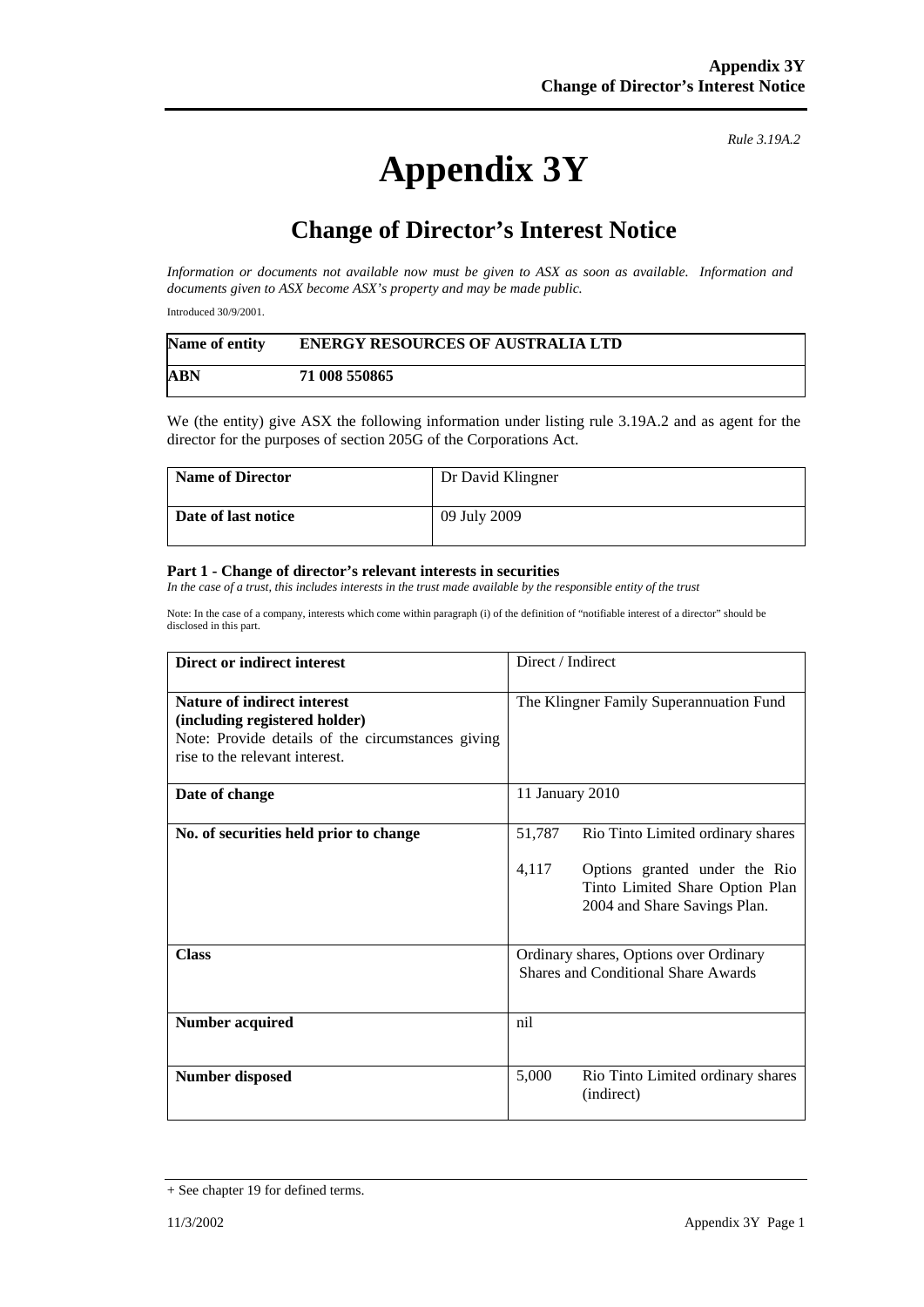## **Appendix 3Y**

*Rule 3.19A.2*

## **Change of Director's Interest Notice**

*Information or documents not available now must be given to ASX as soon as available. Information and documents given to ASX become ASX's property and may be made public.* 

Introduced 30/9/2001.

| Name of entity | <b>ENERGY RESOURCES OF AUSTRALIA LTD</b> |
|----------------|------------------------------------------|
| <b>ABN</b>     | 71 008 550865                            |

We (the entity) give ASX the following information under listing rule 3.19A.2 and as agent for the director for the purposes of section 205G of the Corporations Act.

| <b>Name of Director</b> | Dr David Klingner |
|-------------------------|-------------------|
| Date of last notice     | 09 July 2009      |

## **Part 1 - Change of director's relevant interests in securities**

In the case of a trust, this includes interests in the trust made available by the responsible entity of the trust

Note: In the case of a company, interests which come within paragraph (i) of the definition of "notifiable interest of a director" should be disclosed in this part.

| Direct or indirect interest                                                                                                                         | Direct / Indirect                                                                                                                                        |  |
|-----------------------------------------------------------------------------------------------------------------------------------------------------|----------------------------------------------------------------------------------------------------------------------------------------------------------|--|
| Nature of indirect interest<br>(including registered holder)<br>Note: Provide details of the circumstances giving<br>rise to the relevant interest. | The Klingner Family Superannuation Fund                                                                                                                  |  |
| Date of change                                                                                                                                      | 11 January 2010                                                                                                                                          |  |
| No. of securities held prior to change                                                                                                              | 51,787<br>Rio Tinto Limited ordinary shares<br>4,117<br>Options granted under the Rio<br>Tinto Limited Share Option Plan<br>2004 and Share Savings Plan. |  |
| <b>Class</b>                                                                                                                                        | Ordinary shares, Options over Ordinary<br><b>Shares and Conditional Share Awards</b>                                                                     |  |
| <b>Number acquired</b>                                                                                                                              | nil                                                                                                                                                      |  |
| <b>Number disposed</b>                                                                                                                              | 5,000<br>Rio Tinto Limited ordinary shares<br>(indirect)                                                                                                 |  |

<sup>+</sup> See chapter 19 for defined terms.